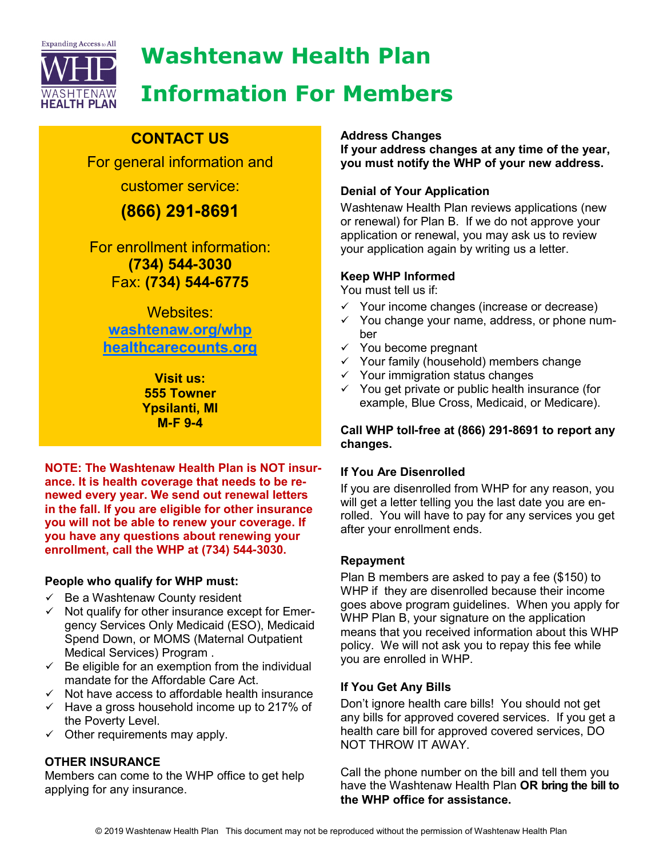

# Washtenaw Health Plan Information For Members

# CONTACT US

For general information and customer service:

# (866) 291**-**8691

For enrollment information: (734) 544**-**3030 Fax: (734) 544**-**6775

Websites: washtenaw.org/whp healthcarecounts.org

> Visit us: 555 Towner Ypsilanti, MI M**-**F 9**-**4

NOTE: The Washtenaw Health Plan is NOT insurance. It is health coverage that needs to be renewed every year. We send out renewal letters in the fall. If you are eligible for other insurance you will not be able to renew your coverage. If you have any questions about renewing your enrollment, call the WHP at (734) 544**-**3030.

### People who qualify for WHP must:

- $\checkmark$  Be a Washtenaw County resident
- $\checkmark$  Not qualify for other insurance except for Emergency Services Only Medicaid (ESO), Medicaid Spend Down, or MOMS (Maternal Outpatient Medical Services) Program .
- $\checkmark$  Be eligible for an exemption from the individual mandate for the Affordable Care Act.
- $\checkmark$  Not have access to affordable health insurance
- $\checkmark$  Have a gross household income up to 217% of the Poverty Level.
- $\checkmark$  Other requirements may apply.

# OTHER INSURANCE

Members can come to the WHP office to get help applying for any insurance.

### Address Changes

If your address changes at any time of the year, you must notify the WHP of your new address.

# Denial of Your Application

Washtenaw Health Plan reviews applications (new or renewal) for Plan B. If we do not approve your application or renewal, you may ask us to review your application again by writing us a letter.

## Keep WHP Informed

You must tell us if:

- $\checkmark$  Your income changes (increase or decrease)
- $\checkmark$  You change your name, address, or phone number
- $\checkmark$  You become pregnant
- $\checkmark$  Your family (household) members change
- $\checkmark$  Your immigration status changes
- $\checkmark$  You get private or public health insurance (for example, Blue Cross, Medicaid, or Medicare).

### Call WHP toll**-**free at (866) 291**-**8691 to report any changes.

### If You Are Disenrolled

If you are disenrolled from WHP for any reason, you will get a letter telling you the last date you are enrolled. You will have to pay for any services you get after your enrollment ends.

### Repayment

Plan B members are asked to pay a fee (\$150) to WHP if they are disenrolled because their income goes above program guidelines. When you apply for WHP Plan B, your signature on the application means that you received information about this WHP policy. We will not ask you to repay this fee while you are enrolled in WHP.

# If You Get Any Bills

Don't ignore health care bills! You should not get any bills for approved covered services. If you get a health care bill for approved covered services, DO NOT THROW IT AWAY.

Call the phone number on the bill and tell them you have the Washtenaw Health Plan OR bring the bill to the WHP office for assistance.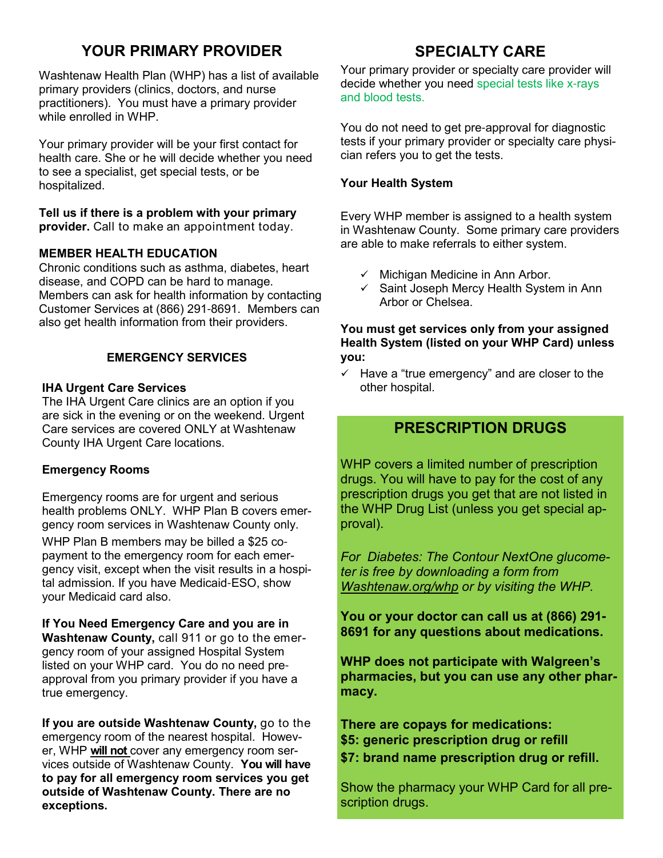# YOUR PRIMARY PROVIDER

Washtenaw Health Plan (WHP) has a list of available primary providers (clinics, doctors, and nurse practitioners). You must have a primary provider while enrolled in WHP.

Your primary provider will be your first contact for health care. She or he will decide whether you need to see a specialist, get special tests, or be hospitalized.

### Tell us if there is a problem with your primary

provider. Call to make an appointment today.

### MEMBER HEALTH EDUCATION

Chronic conditions such as asthma, diabetes, heart disease, and COPD can be hard to manage. Members can ask for health information by contacting Customer Services at (866) 291-8691. Members can also get health information from their providers.

### EMERGENCY SERVICES

### IHA Urgent Care Services

The IHA Urgent Care clinics are an option if you are sick in the evening or on the weekend. Urgent Care services are covered ONLY at Washtenaw County IHA Urgent Care locations.

### Emergency Rooms

Emergency rooms are for urgent and serious health problems ONLY. WHP Plan B covers emergency room services in Washtenaw County only. WHP Plan B members may be billed a \$25 co-

payment to the emergency room for each emergency visit, except when the visit results in a hospital admission. If you have Medicaid-ESO, show your Medicaid card also.

If You Need Emergency Care and you are in Washtenaw County, call 911 or go to the emergency room of your assigned Hospital System listed on your WHP card. You do no need preapproval from you primary provider if you have a true emergency.

If you are outside Washtenaw County, go to the emergency room of the nearest hospital. However, WHP will not cover any emergency room services outside of Washtenaw County. You will have to pay for all emergency room services you get outside of Washtenaw County. There are no exceptions.

# SPECIALTY CARE

Your primary provider or specialty care provider will decide whether you need special tests like x-rays and blood tests.

You do not need to get pre-approval for diagnostic tests if your primary provider or specialty care physician refers you to get the tests.

### Your Health System

Every WHP member is assigned to a health system in Washtenaw County. Some primary care providers are able to make referrals to either system.

- $\checkmark$  Michigan Medicine in Ann Arbor.
- $\checkmark$  Saint Joseph Mercy Health System in Ann Arbor or Chelsea.

### You must get services only from your assigned Health System (listed on your WHP Card) unless you:

 $\checkmark$  Have a "true emergency" and are closer to the other hospital.

# PRESCRIPTION DRUGS

WHP covers a limited number of prescription drugs. You will have to pay for the cost of any prescription drugs you get that are not listed in the WHP Drug List (unless you get special approval).

For Diabetes: The Contour NextOne glucometer is free by downloading a form from Washtenaw.org/whp or by visiting the WHP.

You or your doctor can call us at (866) 291**-** 8691 for any questions about medications.

WHP does not participate with Walgreen's pharmacies, but you can use any other pharmacy.

There are copays for medications: \$5: generic prescription drug or refill \$7: brand name prescription drug or refill.

Show the pharmacy your WHP Card for all prescription drugs.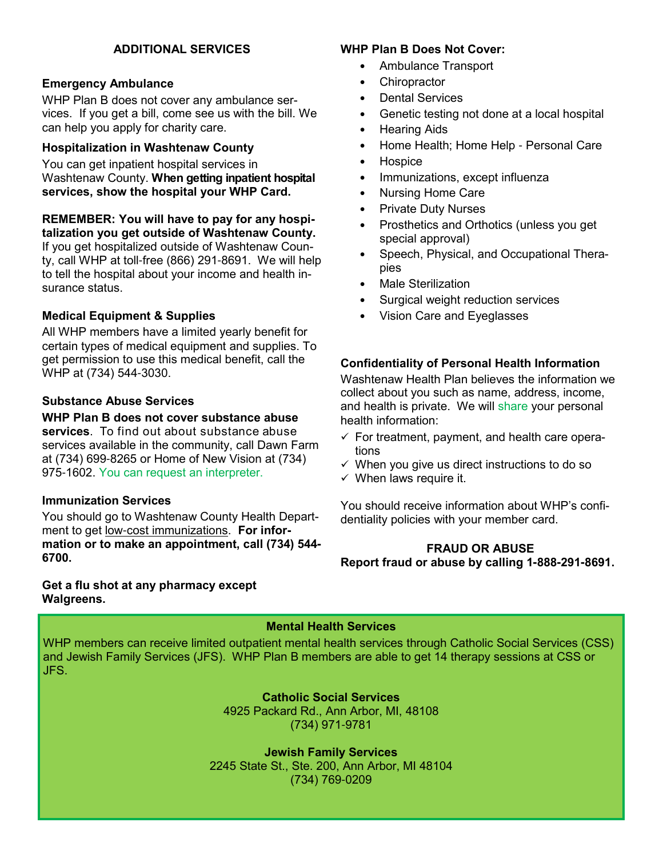### ADDITIONAL SERVICES

### Emergency Ambulance

WHP Plan B does not cover any ambulance services. If you get a bill, come see us with the bill. We can help you apply for charity care.

### Hospitalization in Washtenaw County

You can get inpatient hospital services in Washtenaw County. When getting inpatient hospital services, show the hospital your WHP Card.

REMEMBER: You will have to pay for any hospitalization you get outside of Washtenaw County. If you get hospitalized outside of Washtenaw County, call WHP at toll-free (866) 291-8691. We will help to tell the hospital about your income and health insurance status.

### Medical Equipment & Supplies

All WHP members have a limited yearly benefit for certain types of medical equipment and supplies. To get permission to use this medical benefit, call the WHP at (734) 544-3030.

### Substance Abuse Services

WHP Plan B does not cover substance abuse services. To find out about substance abuse services available in the community, call Dawn Farm at (734) 699-8265 or Home of New Vision at (734) 975-1602. You can request an interpreter.

### Immunization Services

You should go to Washtenaw County Health Department to get low-cost immunizations. For information or to make an appointment, call (734) 544**-** 6700.

Get a flu shot at any pharmacy except Walgreens.

### WHP Plan B Does Not Cover:

- Ambulance Transport
- **Chiropractor**
- Dental Services
- Genetic testing not done at a local hospital
- Hearing Aids
- Home Health; Home Help Personal Care
- Hospice
- Immunizations, except influenza
- Nursing Home Care
- Private Duty Nurses
- Prosthetics and Orthotics (unless you get special approval)
- Speech, Physical, and Occupational Therapies
- Male Sterilization
- Surgical weight reduction services
- Vision Care and Eyeglasses

### Confidentiality of Personal Health Information

Washtenaw Health Plan believes the information we collect about you such as name, address, income, and health is private. We will share your personal health information:

- $\checkmark$  For treatment, payment, and health care operations
- $\checkmark$  When you give us direct instructions to do so
- $\checkmark$  When laws require it.

You should receive information about WHP's confidentiality policies with your member card.

### FRAUD OR ABUSE Report fraud or abuse by calling 1**-**888**-**291**-**8691.

### Mental Health Services

WHP members can receive limited outpatient mental health services through Catholic Social Services (CSS) and Jewish Family Services (JFS). WHP Plan B members are able to get 14 therapy sessions at CSS or JFS.

> Catholic Social Services 4925 Packard Rd., Ann Arbor, MI, 48108 (734) 971-9781

Jewish Family Services 2245 State St., Ste. 200, Ann Arbor, MI 48104 (734) 769-0209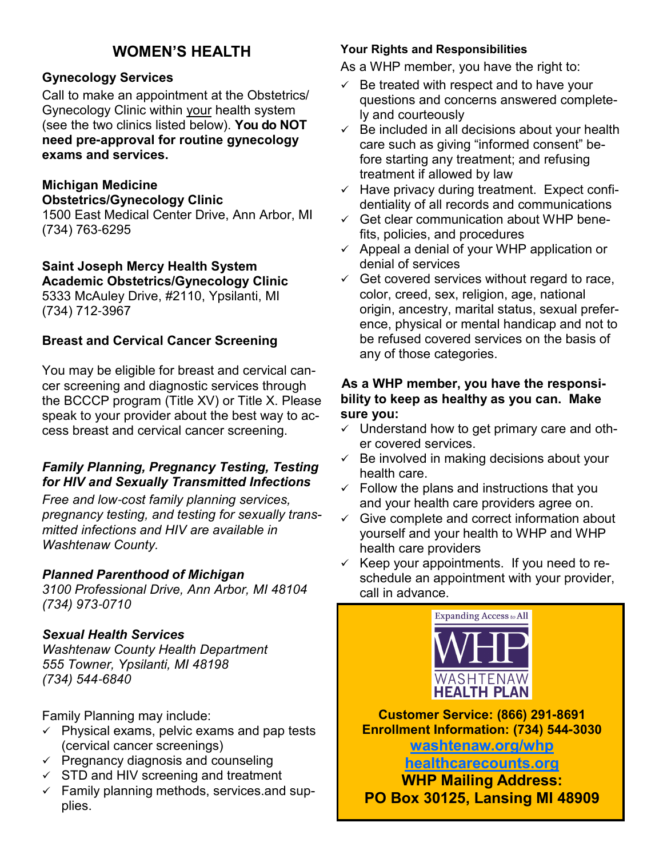# WOMEN'S HEALTH

# Gynecology Services

Call to make an appointment at the Obstetrics/ Gynecology Clinic within your health system (see the two clinics listed below). You do NOT need pre**-**approval for routine gynecology exams and services.

# Michigan Medicine

### Obstetrics/Gynecology Clinic

1500 East Medical Center Drive, Ann Arbor, MI (734) 763-6295

# Saint Joseph Mercy Health System

Academic Obstetrics/Gynecology Clinic 5333 McAuley Drive, #2110, Ypsilanti, MI (734) 712-3967

# Breast and Cervical Cancer Screening

You may be eligible for breast and cervical cancer screening and diagnostic services through the BCCCP program (Title XV) or Title X. Please speak to your provider about the best way to access breast and cervical cancer screening.

# Family Planning, Pregnancy Testing, Testing for HIV and Sexually Transmitted Infections

Free and low-cost family planning services, pregnancy testing, and testing for sexually transmitted infections and HIV are available in Washtenaw County.

### Planned Parenthood of Michigan

3100 Professional Drive, Ann Arbor, MI 48104 (734) 973-0710

# Sexual Health Services

Washtenaw County Health Department 555 Towner, Ypsilanti, MI 48198 (734) 544-6840

Family Planning may include:

- $\checkmark$  Physical exams, pelvic exams and pap tests (cervical cancer screenings)
- $\checkmark$  Pregnancy diagnosis and counseling
- $\checkmark$  STD and HIV screening and treatment
- $\checkmark$  Family planning methods, services and supplies.

## Your Rights and Responsibilities

As a WHP member, you have the right to:

- $\checkmark$  Be treated with respect and to have your questions and concerns answered completely and courteously
- $\checkmark$  Be included in all decisions about your health care such as giving "informed consent" before starting any treatment; and refusing treatment if allowed by law
- $\checkmark$  Have privacy during treatment. Expect confidentiality of all records and communications
- $\checkmark$  Get clear communication about WHP benefits, policies, and procedures
- $\checkmark$  Appeal a denial of your WHP application or denial of services
- $\checkmark$  Get covered services without regard to race, color, creed, sex, religion, age, national origin, ancestry, marital status, sexual preference, physical or mental handicap and not to be refused covered services on the basis of any of those categories.

## As a WHP member, you have the responsibility to keep as healthy as you can. Make sure you:

- $\checkmark$  Understand how to get primary care and other covered services.
- $\checkmark$  Be involved in making decisions about your health care.
- $\checkmark$  Follow the plans and instructions that you and your health care providers agree on.
- $\checkmark$  Give complete and correct information about yourself and your health to WHP and WHP health care providers
- $\checkmark$  Keep your appointments. If you need to reschedule an appointment with your provider, call in advance.



Customer Service: (866) 291**-**8691 Enrollment Information: (734) 544**-**3030

washtenaw.org/whp healthcarecounts.org

WHP Mailing Address: PO Box 30125, Lansing MI 48909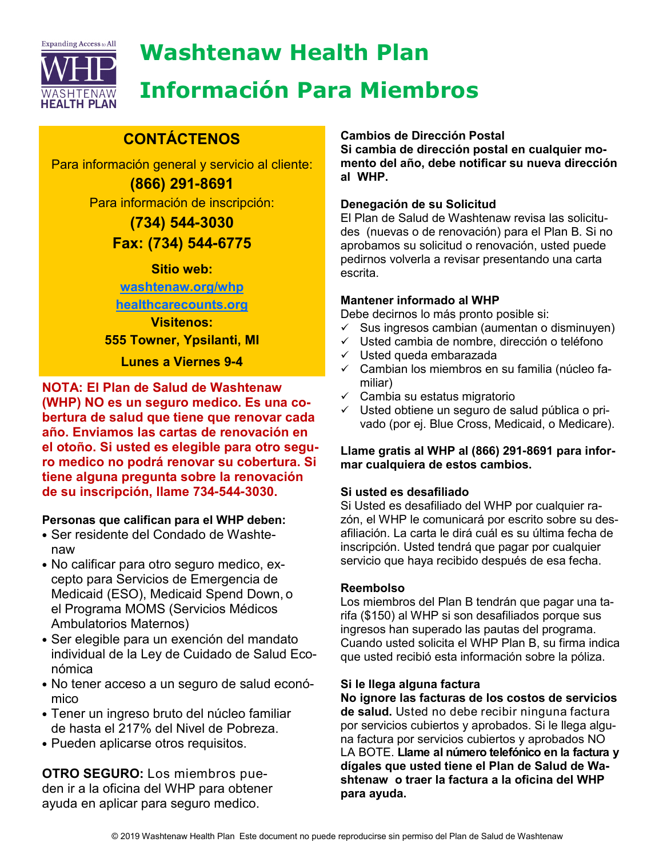

# Washtenaw Health Plan

# Información Para Miembros

# **CONTÁCTENOS**

Para información general y servicio al cliente: (866) 291**-**8691

Para información de inscripción:

(734) 544**-**3030 Fax: (734) 544**-**6775

Sitio web:

washtenaw.org/whp

healthcarecounts.org

Visitenos: 555 Towner, Ypsilanti, MI

Lunes a Viernes 9**-**4

NOTA: El Plan de Salud de Washtenaw (WHP) NO es un seguro medico. Es una cobertura de salud que tiene que renovar cada año. Enviamos las cartas de renovación en el otoño. Si usted es elegible para otro seguro medico no podrá renovar su cobertura. Si tiene alguna pregunta sobre la renovación de su inscripción, llame 734**-**544**-**3030.

# Personas que califican para el WHP deben:

- Ser residente del Condado de Washtenaw
- No calificar para otro seguro medico, excepto para Servicios de Emergencia de Medicaid (ESO), Medicaid Spend Down, o el Programa MOMS (Servicios Médicos Ambulatorios Maternos)
- Ser elegible para un exención del mandato individual de la Ley de Cuidado de Salud Económica
- No tener acceso a un seguro de salud económico
- Tener un ingreso bruto del núcleo familiar de hasta el 217% del Nivel de Pobreza.
- Pueden aplicarse otros requisitos.

OTRO SEGURO: Los miembros pueden ir a la oficina del WHP para obtener ayuda en aplicar para seguro medico.

## Cambios de Dirección Postal

Si cambia de dirección postal en cualquier momento del año, debe notificar su nueva dirección al WHP.

## Denegación de su Solicitud

El Plan de Salud de Washtenaw revisa las solicitudes (nuevas o de renovación) para el Plan B. Si no aprobamos su solicitud o renovación, usted puede pedirnos volverla a revisar presentando una carta escrita.

# Mantener informado al WHP

Debe decirnos lo más pronto posible si:

- $\checkmark$  Sus ingresos cambian (aumentan o disminuyen)
- $\checkmark$  Usted cambia de nombre, dirección o teléfono
- $\checkmark$  Usted queda embarazada
- $\checkmark$  Cambian los miembros en su familia (núcleo familiar)
- $\checkmark$  Cambia su estatus migratorio
- $\checkmark$  Usted obtiene un seguro de salud pública o privado (por ej. Blue Cross, Medicaid, o Medicare).

### Llame gratis al WHP al (866) 291**-**8691 para informar cualquiera de estos cambios.

# Si usted es desafiliado

Si Usted es desafiliado del WHP por cualquier razón, el WHP le comunicará por escrito sobre su desafiliación. La carta le dirá cuál es su última fecha de inscripción. Usted tendrá que pagar por cualquier servicio que haya recibido después de esa fecha.

# Reembolso

Los miembros del Plan B tendrán que pagar una tarifa (\$150) al WHP si son desafiliados porque sus ingresos han superado las pautas del programa. Cuando usted solicita el WHP Plan B, su firma indica que usted recibió esta información sobre la póliza.

# Si le llega alguna factura

No ignore las facturas de los costos de servicios de salud. Usted no debe recibir ninguna factura por servicios cubiertos y aprobados. Si le llega alguna factura por servicios cubiertos y aprobados NO LA BOTE. Llame al número telefónico en la factura y dígales que usted tiene el Plan de Salud de Washtenaw o traer la factura a la oficina del WHP para ayuda.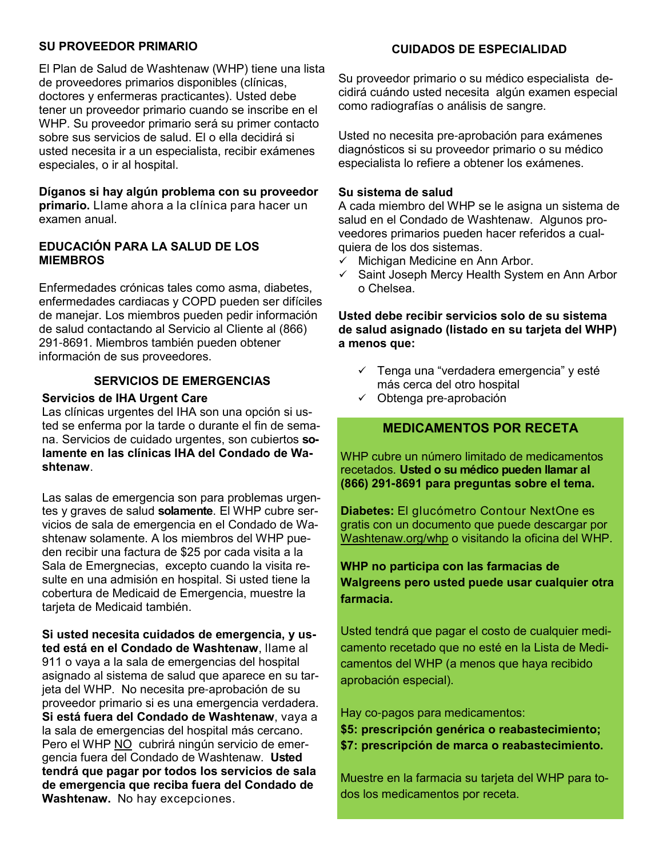### SU PROVEEDOR PRIMARIO

El Plan de Salud de Washtenaw (WHP) tiene una lista de proveedores primarios disponibles (clínicas, doctores y enfermeras practicantes). Usted debe tener un proveedor primario cuando se inscribe en el WHP. Su proveedor primario será su primer contacto sobre sus servicios de salud. El o ella decidirá si usted necesita ir a un especialista, recibir exámenes especiales, o ir al hospital.

Díganos si hay algún problema con su proveedor primario. Llame ahora a la clínica para hacer un examen anual.

### EDUCACIÓN PARA LA SALUD DE LOS MIEMBROS

Enfermedades crónicas tales como asma, diabetes, enfermedades cardiacas y COPD pueden ser difíciles de manejar. Los miembros pueden pedir información de salud contactando al Servicio al Cliente al (866) 291-8691. Miembros también pueden obtener información de sus proveedores.

### SERVICIOS DE EMERGENCIAS

#### Servicios de IHA Urgent Care

Las clínicas urgentes del IHA son una opción si usted se enferma por la tarde o durante el fin de semana. Servicios de cuidado urgentes, son cubiertos solamente en las clínicas IHA del Condado de Washtenaw.

Las salas de emergencia son para problemas urgentes y graves de salud solamente. El WHP cubre servicios de sala de emergencia en el Condado de Washtenaw solamente. A los miembros del WHP pueden recibir una factura de \$25 por cada visita a la Sala de Emergnecias, excepto cuando la visita resulte en una admisión en hospital. Si usted tiene la cobertura de Medicaid de Emergencia, muestre la tarjeta de Medicaid también.

Si usted necesita cuidados de emergencia, y usted está en el Condado de Washtenaw, llame al 911 o vaya a la sala de emergencias del hospital asignado al sistema de salud que aparece en su tarjeta del WHP. No necesita pre-aprobación de su proveedor primario si es una emergencia verdadera. Si está fuera del Condado de Washtenaw, vaya a la sala de emergencias del hospital más cercano. Pero el WHP NO cubrirá ningún servicio de emergencia fuera del Condado de Washtenaw. Usted tendrá que pagar por todos los servicios de sala de emergencia que reciba fuera del Condado de Washtenaw. No hay excepciones.

### CUIDADOS DE ESPECIALIDAD

Su proveedor primario o su médico especialista decidirá cuándo usted necesita algún examen especial como radiografías o análisis de sangre.

Usted no necesita pre-aprobación para exámenes diagnósticos si su proveedor primario o su médico especialista lo refiere a obtener los exámenes.

#### Su sistema de salud

A cada miembro del WHP se le asigna un sistema de salud en el Condado de Washtenaw. Algunos proveedores primarios pueden hacer referidos a cualquiera de los dos sistemas.

- Michigan Medicine en Ann Arbor.
- $\checkmark$  Saint Joseph Mercy Health System en Ann Arbor o Chelsea.

### Usted debe recibir servicios solo de su sistema de salud asignado (listado en su tarjeta del WHP) a menos que:

- $\checkmark$  Tenga una "verdadera emergencia" y esté más cerca del otro hospital
- $\checkmark$  Obtenga pre-aprobación

### MEDICAMENTOS POR RECETA

WHP cubre un número limitado de medicamentos recetados. Usted o su médico pueden llamar al (866) 291**-**8691 para preguntas sobre el tema.

Diabetes: El glucómetro Contour NextOne es gratis con un documento que puede descargar por Washtenaw.org/whp o visitando la oficina del WHP.

## WHP no participa con las farmacias de Walgreens pero usted puede usar cualquier otra farmacia.

Usted tendrá que pagar el costo de cualquier medicamento recetado que no esté en la Lista de Medicamentos del WHP (a menos que haya recibido aprobación especial).

Hay co-pagos para medicamentos:

\$5: prescripción genérica o reabastecimiento; \$7: prescripción de marca o reabastecimiento.

Muestre en la farmacia su tarjeta del WHP para todos los medicamentos por receta.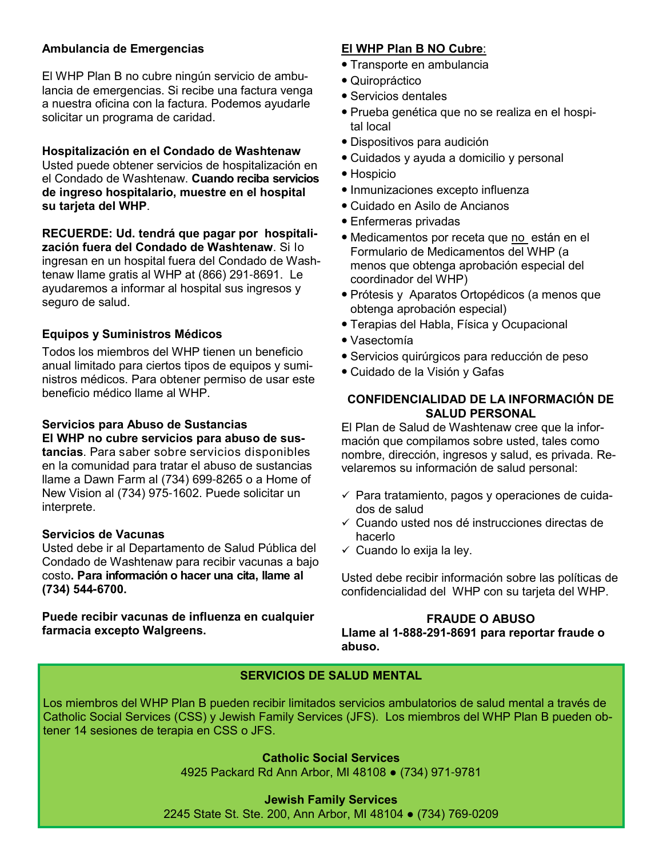### Ambulancia de Emergencias

El WHP Plan B no cubre ningún servicio de ambulancia de emergencias. Si recibe una factura venga a nuestra oficina con la factura. Podemos ayudarle solicitar un programa de caridad.

### Hospitalización en el Condado de Washtenaw

Usted puede obtener servicios de hospitalización en el Condado de Washtenaw. Cuando reciba servicios de ingreso hospitalario, muestre en el hospital su tarjeta del WHP.

RECUERDE: Ud. tendrá que pagar por hospitalización fuera del Condado de Washtenaw. Si lo ingresan en un hospital fuera del Condado de Washtenaw llame gratis al WHP at (866) 291-8691. Le ayudaremos a informar al hospital sus ingresos y seguro de salud.

### Equipos y Suministros Médicos

Todos los miembros del WHP tienen un beneficio anual limitado para ciertos tipos de equipos y suministros médicos. Para obtener permiso de usar este beneficio médico llame al WHP.

### Servicios para Abuso de Sustancias

El WHP no cubre servicios para abuso de sus-

tancias. Para saber sobre servicios disponibles en la comunidad para tratar el abuso de sustancias llame a Dawn Farm al (734) 699-8265 o a Home of New Vision al (734) 975-1602. Puede solicitar un interprete.

#### Servicios de Vacunas

Usted debe ir al Departamento de Salud Pública del Condado de Washtenaw para recibir vacunas a bajo costo. Para información o hacer una cita, llame al (734) 544**-**6700.

Puede recibir vacunas de influenza en cualquier farmacia excepto Walgreens.

### El WHP Plan B NO Cubre:

- Transporte en ambulancia
- Quiropráctico
- Servicios dentales
- Prueba genética que no se realiza en el hospital local
- Dispositivos para audición
- Cuidados y ayuda a domicilio y personal
- Hospicio
- Inmunizaciones excepto influenza
- Cuidado en Asilo de Ancianos
- Enfermeras privadas
- Medicamentos por receta que no están en el Formulario de Medicamentos del WHP (a menos que obtenga aprobación especial del coordinador del WHP)
- Prótesis y Aparatos Ortopédicos (a menos que obtenga aprobación especial)
- Terapias del Habla, Física y Ocupacional
- Vasectomía
- Servicios quirúrgicos para reducción de peso
- Cuidado de la Visión y Gafas

### CONFIDENCIALIDAD DE LA INFORMACIÓN DE SALUD PERSONAL

El Plan de Salud de Washtenaw cree que la información que compilamos sobre usted, tales como nombre, dirección, ingresos y salud, es privada. Revelaremos su información de salud personal:

- $\checkmark$  Para tratamiento, pagos y operaciones de cuidados de salud
- $\checkmark$  Cuando usted nos dé instrucciones directas de hacerlo
- $\checkmark$  Cuando lo exija la ley.

Usted debe recibir información sobre las políticas de confidencialidad del WHP con su tarjeta del WHP.

### FRAUDE O ABUSO

Llame al 1**-**888**-**291**-**8691 para reportar fraude o abuso.

### SERVICIOS DE SALUD MENTAL

Los miembros del WHP Plan B pueden recibir limitados servicios ambulatorios de salud mental a través de Catholic Social Services (CSS) y Jewish Family Services (JFS). Los miembros del WHP Plan B pueden obtener 14 sesiones de terapia en CSS o JFS.

> Catholic Social Services 4925 Packard Rd Ann Arbor, MI 48108 ● (734) 971-9781

#### Jewish Family Services

2245 State St. Ste. 200, Ann Arbor, MI 48104 ● (734) 769-0209